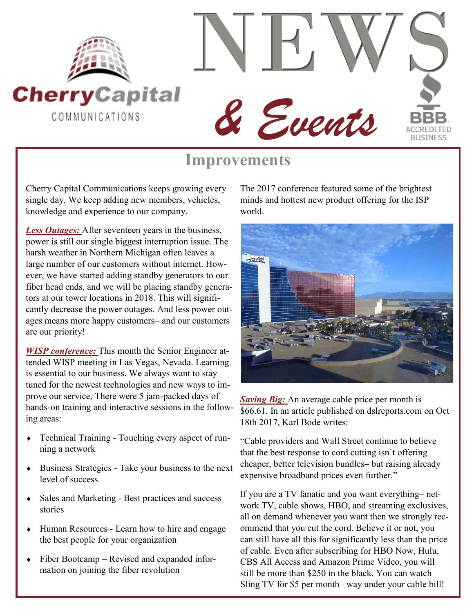



## **Improvements**

Cherry Capital Communications keeps growing every single day. We keep adding new members, vehicles, knowledge and experience to our company.

*Less Outages:* After seventeen years in the business, power is still our single biggest interruption issue. The harsh weather in Northern Michigan often leaves a large number of our customers without internet. However, we have started adding standby generators to our fiber head ends, and we will be placing standby generators at our tower locations in 2018. This will significantly decrease the power outages. And less power outages means more happy customers– and our customers are our priority!

*WISP conference:* This month the Senior Engineer attended WISP meeting in Las Vegas, Nevada. Learning is essential to our business. We always want to stay tuned for the newest technologies and new ways to improve our service, There were 5 jam-packed days of hands-on training and interactive sessions in the following areas:

- Technical Training Touching every aspect of running a network
- Business Strategies Take your business to the next level of success
- Sales and Marketing Best practices and success stories
- Human Resources Learn how to hire and engage the best people for your organization
- Fiber Bootcamp Revised and expanded information on joining the fiber revolution

The 2017 conference featured some of the brightest minds and hottest new product offering for the ISP world.



*Saving Big:* An average cable price per month is \$66.61. In an article published on dslreports.com on Oct 18th 2017, Karl Bode writes:

"Cable providers and Wall Street continue to believe that the best response to cord cutting isn`t offering cheaper, better television bundles– but raising already expensive broadband prices even further."

If you are a TV fanatic and you want everything– network TV, cable shows, HBO, and streaming exclusives, all on demand whenever you want then we strongly recommend that you cut the cord. Believe it or not, you can still have all this for significantly less than the price of cable. Even after subscribing for HBO Now, Hulu, CBS All Access and Amazon Prime Video, you will still be more than \$250 in the black. You can watch Sling TV for \$5 per month– way under your cable bill!